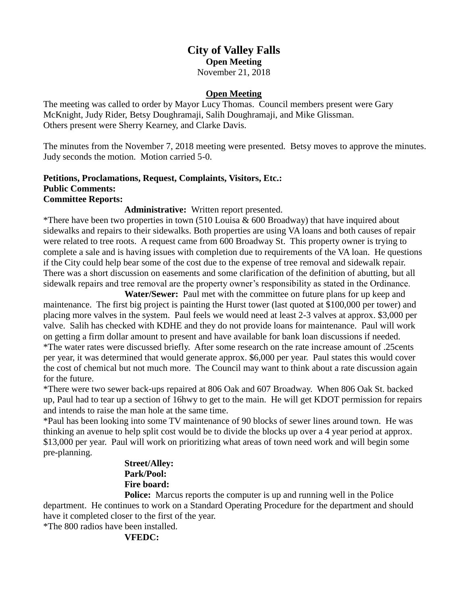## **City of Valley Falls Open Meeting** November 21, 2018

## **Open Meeting**

The meeting was called to order by Mayor Lucy Thomas. Council members present were Gary McKnight, Judy Rider, Betsy Doughramaji, Salih Doughramaji, and Mike Glissman. Others present were Sherry Kearney, and Clarke Davis.

The minutes from the November 7, 2018 meeting were presented. Betsy moves to approve the minutes. Judy seconds the motion. Motion carried 5-0.

### **Petitions, Proclamations, Request, Complaints, Visitors, Etc.: Public Comments: Committee Reports:**

### **Administrative:** Written report presented.

\*There have been two properties in town  $(510$  Louisa & 600 Broadway) that have inquired about sidewalks and repairs to their sidewalks. Both properties are using VA loans and both causes of repair were related to tree roots. A request came from 600 Broadway St. This property owner is trying to complete a sale and is having issues with completion due to requirements of the VA loan. He questions if the City could help bear some of the cost due to the expense of tree removal and sidewalk repair. There was a short discussion on easements and some clarification of the definition of abutting, but all sidewalk repairs and tree removal are the property owner's responsibility as stated in the Ordinance.

**Water/Sewer:** Paul met with the committee on future plans for up keep and maintenance. The first big project is painting the Hurst tower (last quoted at \$100,000 per tower) and placing more valves in the system. Paul feels we would need at least 2-3 valves at approx. \$3,000 per valve. Salih has checked with KDHE and they do not provide loans for maintenance. Paul will work on getting a firm dollar amount to present and have available for bank loan discussions if needed. \*The water rates were discussed briefly. After some research on the rate increase amount of .25cents per year, it was determined that would generate approx. \$6,000 per year. Paul states this would cover the cost of chemical but not much more. The Council may want to think about a rate discussion again for the future.

\*There were two sewer back-ups repaired at 806 Oak and 607 Broadway. When 806 Oak St. backed up, Paul had to tear up a section of 16hwy to get to the main. He will get KDOT permission for repairs and intends to raise the man hole at the same time.

\*Paul has been looking into some TV maintenance of 90 blocks of sewer lines around town. He was thinking an avenue to help split cost would be to divide the blocks up over a 4 year period at approx. \$13,000 per year. Paul will work on prioritizing what areas of town need work and will begin some pre-planning.

# **Street/Alley: Park/Pool: Fire board:**

**Police:** Marcus reports the computer is up and running well in the Police department. He continues to work on a Standard Operating Procedure for the department and should have it completed closer to the first of the year.

\*The 800 radios have been installed.

### **VFEDC:**